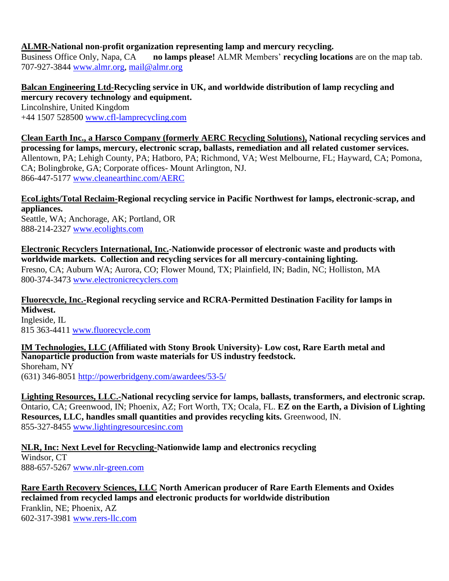# **ALMR-National non-profit organization representing lamp and mercury recycling.**

Business Office Only, Napa, CA **no lamps please!** ALMR Members' **recycling locations** are on the map tab. 707-927-3844 [www.almr.org,](http://www.almr.org/) [mail@almr.org](mailto:mail@almr.org)

# **Balcan Engineering Ltd-Recycling service in UK, and worldwide distribution of lamp recycling and mercury recovery technology and equipment.**

Lincolnshire, United Kingdom +44 1507 528500 [www.cfl-lamprecycling.com](http://www.cfl-lamprecycling.com/)

**Clean Earth Inc., a Harsco Company (formerly AERC Recycling Solutions), National recycling services and processing for lamps, mercury, electronic scrap, ballasts, remediation and all related customer services.** Allentown, PA; Lehigh County, PA; Hatboro, PA; Richmond, VA; West Melbourne, FL; Hayward, CA; Pomona, CA; Bolingbroke, GA; Corporate offices- Mount Arlington, NJ. 866-447-5177 [www.cleanearthinc.com/AERC](http://www.cleanearthinc.com/AERC)

**EcoLights/Total Reclaim-Regional recycling service in Pacific Northwest for lamps, electronic-scrap, and appliances.**

Seattle, WA; Anchorage, AK; Portland, OR 888-214-2327 [www.ecolights.com](http://www.ecolights.com/)

**Electronic Recyclers International, Inc.-Nationwide processor of electronic waste and products with worldwide markets. Collection and recycling services for all mercury-containing lighting.** Fresno, CA; Auburn WA; Aurora, CO; Flower Mound, TX; Plainfield, IN; Badin, NC; Holliston, MA 800-374-3473 [www.electronicrecyclers.com](http://www.electronicrecyclers.com/)

**Fluorecycle, Inc.-Regional recycling service and RCRA-Permitted Destination Facility for lamps in Midwest.**

Ingleside, IL 815 363-4411 [www.fluorecycle.com](http://www.fluorecycle.com/)

**IM Technologies, LLC (Affiliated with Stony Brook University)- Low cost, Rare Earth metal and Nanoparticle production from waste materials for US industry feedstock.** Shoreham, NY

(631) 346-8051 <http://powerbridgeny.com/awardees/53-5/>

**Lighting Resources, LLC.-National recycling service for lamps, ballasts, transformers, and electronic scrap.** Ontario, CA; Greenwood, IN; Phoenix, AZ; Fort Worth, TX; Ocala, FL. **EZ on the Earth, a Division of Lighting Resources, LLC, handles small quantities and provides recycling kits.** Greenwood, IN. 855-327-8455 [www.lightingresourcesinc.com](http://www.lightingresourcesinc.com/)

**NLR, Inc: Next Level for Recycling-Nationwide lamp and electronics recycling** Windsor, CT 888-657-5267 [www.nlr-green.com](http://www.nlr-green.com/)

**Rare Earth Recovery Sciences, LLC North American producer of Rare Earth Elements and Oxides reclaimed from recycled lamps and electronic products for worldwide distribution** Franklin, NE; Phoenix, AZ 602-317-3981 [www.rers-llc.com](http://www.rers-llc.com/)